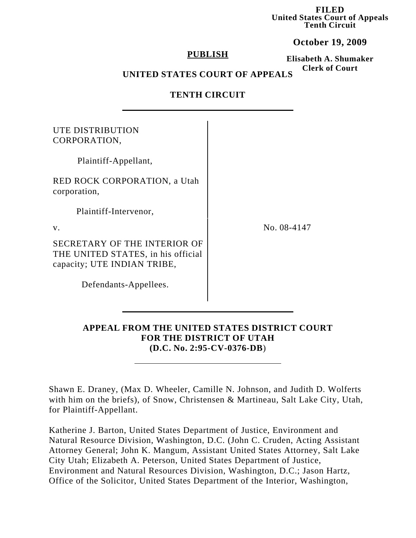**FILED United States Court of Appeals Tenth Circuit**

**October 19, 2009**

### **PUBLISH**

**Elisabeth A. Shumaker Clerk of Court**

# **UNITED STATES COURT OF APPEALS**

## **TENTH CIRCUIT**

| UTE DISTRIBUTION<br>CORPORATION,                                                                  |             |
|---------------------------------------------------------------------------------------------------|-------------|
| Plaintiff-Appellant,                                                                              |             |
| <b>RED ROCK CORPORATION, a Utah</b><br>corporation,                                               |             |
| Plaintiff-Intervenor,                                                                             |             |
| $V_{\cdot}$                                                                                       | No. 08-4147 |
| SECRETARY OF THE INTERIOR OF<br>THE UNITED STATES, in his official<br>capacity; UTE INDIAN TRIBE, |             |
| Defendants-Appellees.                                                                             |             |

### **APPEAL FROM THE UNITED STATES DISTRICT COURT FOR THE DISTRICT OF UTAH (D.C. No. 2:95-CV-0376-DB**)

Shawn E. Draney, (Max D. Wheeler, Camille N. Johnson, and Judith D. Wolferts with him on the briefs), of Snow, Christensen & Martineau, Salt Lake City, Utah, for Plaintiff-Appellant.

Katherine J. Barton, United States Department of Justice, Environment and Natural Resource Division, Washington, D.C. (John C. Cruden, Acting Assistant Attorney General; John K. Mangum, Assistant United States Attorney, Salt Lake City Utah; Elizabeth A. Peterson, United States Department of Justice, Environment and Natural Resources Division, Washington, D.C.; Jason Hartz, Office of the Solicitor, United States Department of the Interior, Washington,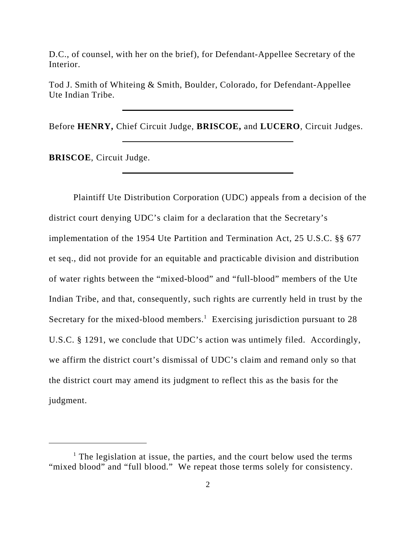D.C., of counsel, with her on the brief), for Defendant-Appellee Secretary of the Interior.

Tod J. Smith of Whiteing & Smith, Boulder, Colorado, for Defendant-Appellee Ute Indian Tribe.

Before **HENRY,** Chief Circuit Judge, **BRISCOE,** and **LUCERO**, Circuit Judges.

**BRISCOE**, Circuit Judge.

Plaintiff Ute Distribution Corporation (UDC) appeals from a decision of the district court denying UDC's claim for a declaration that the Secretary's implementation of the 1954 Ute Partition and Termination Act, 25 U.S.C. §§ 677 et seq., did not provide for an equitable and practicable division and distribution of water rights between the "mixed-blood" and "full-blood" members of the Ute Indian Tribe, and that, consequently, such rights are currently held in trust by the Secretary for the mixed-blood members.<sup>1</sup> Exercising jurisdiction pursuant to 28 U.S.C. § 1291, we conclude that UDC's action was untimely filed. Accordingly, we affirm the district court's dismissal of UDC's claim and remand only so that the district court may amend its judgment to reflect this as the basis for the judgment.

<sup>&</sup>lt;sup>1</sup> The legislation at issue, the parties, and the court below used the terms "mixed blood" and "full blood." We repeat those terms solely for consistency.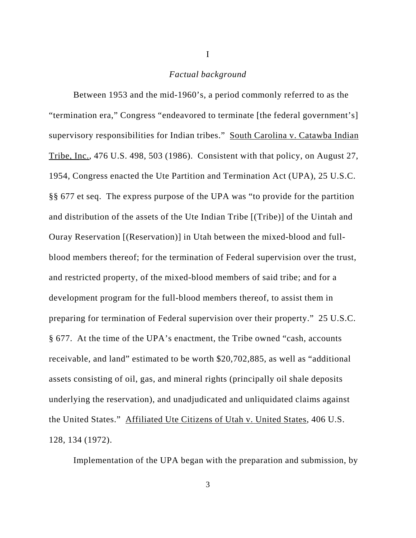#### *Factual background*

I

Between 1953 and the mid-1960's, a period commonly referred to as the "termination era," Congress "endeavored to terminate [the federal government's] supervisory responsibilities for Indian tribes." South Carolina v. Catawba Indian Tribe, Inc., 476 U.S. 498, 503 (1986). Consistent with that policy, on August 27, 1954, Congress enacted the Ute Partition and Termination Act (UPA), 25 U.S.C. §§ 677 et seq. The express purpose of the UPA was "to provide for the partition and distribution of the assets of the Ute Indian Tribe [(Tribe)] of the Uintah and Ouray Reservation [(Reservation)] in Utah between the mixed-blood and fullblood members thereof; for the termination of Federal supervision over the trust, and restricted property, of the mixed-blood members of said tribe; and for a development program for the full-blood members thereof, to assist them in preparing for termination of Federal supervision over their property." 25 U.S.C. § 677. At the time of the UPA's enactment, the Tribe owned "cash, accounts receivable, and land" estimated to be worth \$20,702,885, as well as "additional assets consisting of oil, gas, and mineral rights (principally oil shale deposits underlying the reservation), and unadjudicated and unliquidated claims against the United States." Affiliated Ute Citizens of Utah v. United States, 406 U.S. 128, 134 (1972).

Implementation of the UPA began with the preparation and submission, by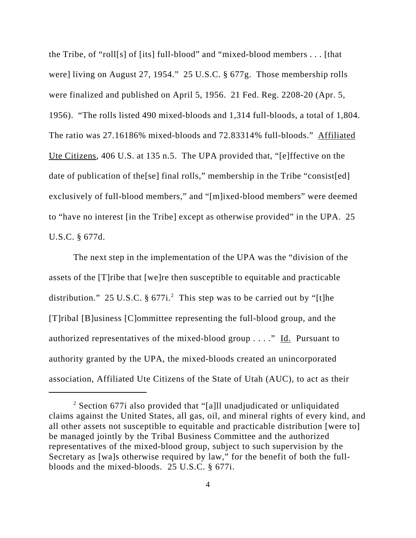the Tribe, of "roll[s] of [its] full-blood" and "mixed-blood members . . . [that were] living on August 27, 1954." 25 U.S.C. § 677g. Those membership rolls were finalized and published on April 5, 1956. 21 Fed. Reg. 2208-20 (Apr. 5, 1956). "The rolls listed 490 mixed-bloods and 1,314 full-bloods, a total of 1,804. The ratio was 27.16186% mixed-bloods and 72.83314% full-bloods." Affiliated Ute Citizens, 406 U.S. at 135 n.5. The UPA provided that, "[e]ffective on the date of publication of the[se] final rolls," membership in the Tribe "consist[ed] exclusively of full-blood members," and "[m]ixed-blood members" were deemed to "have no interest [in the Tribe] except as otherwise provided" in the UPA. 25 U.S.C. § 677d.

The next step in the implementation of the UPA was the "division of the assets of the [T]ribe that [we]re then susceptible to equitable and practicable distribution." 25 U.S.C.  $\S 677i$ . This step was to be carried out by "[t]he [T]ribal [B]usiness [C]ommittee representing the full-blood group, and the authorized representatives of the mixed-blood group  $\dots$ ." Id. Pursuant to authority granted by the UPA, the mixed-bloods created an unincorporated association, Affiliated Ute Citizens of the State of Utah (AUC), to act as their

<sup>&</sup>lt;sup>2</sup> Section 677i also provided that "[a]ll unadjudicated or unliquidated claims against the United States, all gas, oil, and mineral rights of every kind, and all other assets not susceptible to equitable and practicable distribution [were to] be managed jointly by the Tribal Business Committee and the authorized representatives of the mixed-blood group, subject to such supervision by the Secretary as [wa]s otherwise required by law," for the benefit of both the fullbloods and the mixed-bloods. 25 U.S.C. § 677i.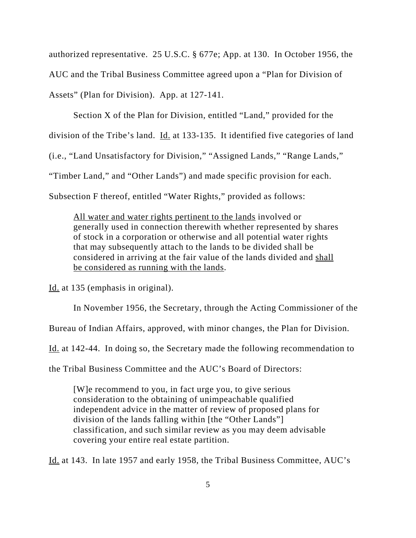authorized representative. 25 U.S.C. § 677e; App. at 130. In October 1956, the AUC and the Tribal Business Committee agreed upon a "Plan for Division of Assets" (Plan for Division). App. at 127-141.

Section X of the Plan for Division, entitled "Land," provided for the division of the Tribe's land. Id. at 133-135. It identified five categories of land (i.e., "Land Unsatisfactory for Division," "Assigned Lands," "Range Lands," "Timber Land," and "Other Lands") and made specific provision for each. Subsection F thereof, entitled "Water Rights," provided as follows:

All water and water rights pertinent to the lands involved or generally used in connection therewith whether represented by shares of stock in a corporation or otherwise and all potential water rights that may subsequently attach to the lands to be divided shall be considered in arriving at the fair value of the lands divided and shall be considered as running with the lands.

Id. at 135 (emphasis in original).

In November 1956, the Secretary, through the Acting Commissioner of the

Bureau of Indian Affairs, approved, with minor changes, the Plan for Division.

Id. at 142-44. In doing so, the Secretary made the following recommendation to

the Tribal Business Committee and the AUC's Board of Directors:

[W]e recommend to you, in fact urge you, to give serious consideration to the obtaining of unimpeachable qualified independent advice in the matter of review of proposed plans for division of the lands falling within [the "Other Lands"] classification, and such similar review as you may deem advisable covering your entire real estate partition.

Id. at 143. In late 1957 and early 1958, the Tribal Business Committee, AUC's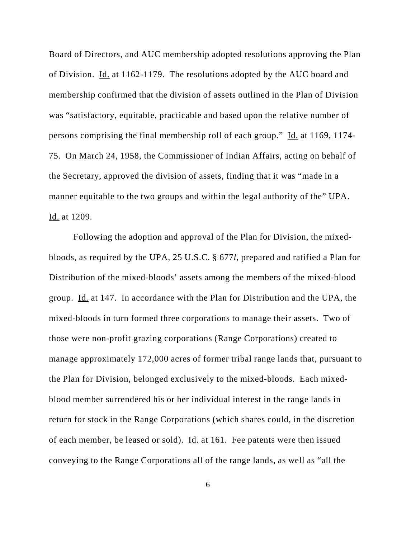Board of Directors, and AUC membership adopted resolutions approving the Plan of Division. Id. at 1162-1179. The resolutions adopted by the AUC board and membership confirmed that the division of assets outlined in the Plan of Division was "satisfactory, equitable, practicable and based upon the relative number of persons comprising the final membership roll of each group." Id. at 1169, 1174- 75. On March 24, 1958, the Commissioner of Indian Affairs, acting on behalf of the Secretary, approved the division of assets, finding that it was "made in a manner equitable to the two groups and within the legal authority of the" UPA. Id. at 1209.

Following the adoption and approval of the Plan for Division, the mixedbloods, as required by the UPA, 25 U.S.C. § 677*l*, prepared and ratified a Plan for Distribution of the mixed-bloods' assets among the members of the mixed-blood group. Id. at 147. In accordance with the Plan for Distribution and the UPA, the mixed-bloods in turn formed three corporations to manage their assets. Two of those were non-profit grazing corporations (Range Corporations) created to manage approximately 172,000 acres of former tribal range lands that, pursuant to the Plan for Division, belonged exclusively to the mixed-bloods. Each mixedblood member surrendered his or her individual interest in the range lands in return for stock in the Range Corporations (which shares could, in the discretion of each member, be leased or sold). <u>Id.</u> at 161. Fee patents were then issued conveying to the Range Corporations all of the range lands, as well as "all the

6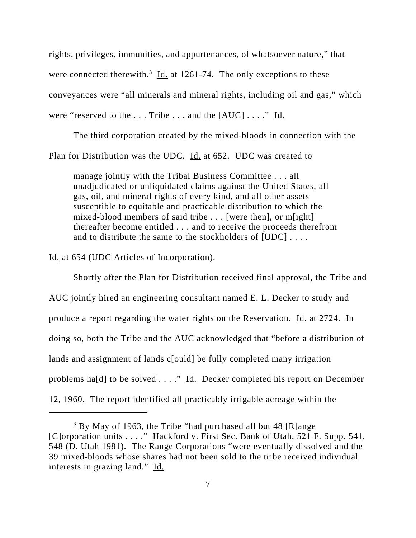rights, privileges, immunities, and appurtenances, of whatsoever nature," that were connected therewith.<sup>3</sup> Id. at 1261-74. The only exceptions to these conveyances were "all minerals and mineral rights, including oil and gas," which were "reserved to the  $\dots$  Tribe  $\dots$  and the  $[AUC] \dots$ ." Id.

The third corporation created by the mixed-bloods in connection with the Plan for Distribution was the UDC. Id. at 652. UDC was created to

manage jointly with the Tribal Business Committee . . . all unadjudicated or unliquidated claims against the United States, all gas, oil, and mineral rights of every kind, and all other assets susceptible to equitable and practicable distribution to which the mixed-blood members of said tribe . . . [were then], or m[ight] thereafter become entitled . . . and to receive the proceeds therefrom and to distribute the same to the stockholders of [UDC] ....

Id. at 654 (UDC Articles of Incorporation).

Shortly after the Plan for Distribution received final approval, the Tribe and AUC jointly hired an engineering consultant named E. L. Decker to study and produce a report regarding the water rights on the Reservation. Id. at 2724. In doing so, both the Tribe and the AUC acknowledged that "before a distribution of lands and assignment of lands c[ould] be fully completed many irrigation problems ha[d] to be solved  $\dots$ ." Id. Decker completed his report on December 12, 1960. The report identified all practicably irrigable acreage within the

<sup>&</sup>lt;sup>3</sup> By May of 1963, the Tribe "had purchased all but 48 [R]ange [C]orporation units . . . ." Hackford v. First Sec. Bank of Utah, 521 F. Supp. 541, 548 (D. Utah 1981). The Range Corporations "were eventually dissolved and the 39 mixed-bloods whose shares had not been sold to the tribe received individual interests in grazing land." Id.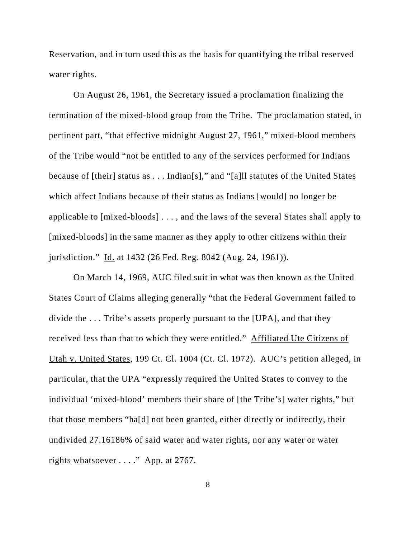Reservation, and in turn used this as the basis for quantifying the tribal reserved water rights.

On August 26, 1961, the Secretary issued a proclamation finalizing the termination of the mixed-blood group from the Tribe. The proclamation stated, in pertinent part, "that effective midnight August 27, 1961," mixed-blood members of the Tribe would "not be entitled to any of the services performed for Indians because of [their] status as . . . Indian[s]," and "[a]ll statutes of the United States which affect Indians because of their status as Indians [would] no longer be applicable to [mixed-bloods] . . . , and the laws of the several States shall apply to [mixed-bloods] in the same manner as they apply to other citizens within their jurisdiction." Id. at 1432 (26 Fed. Reg. 8042 (Aug. 24, 1961)).

On March 14, 1969, AUC filed suit in what was then known as the United States Court of Claims alleging generally "that the Federal Government failed to divide the . . . Tribe's assets properly pursuant to the [UPA], and that they received less than that to which they were entitled." Affiliated Ute Citizens of Utah v. United States, 199 Ct. Cl. 1004 (Ct. Cl. 1972). AUC's petition alleged, in particular, that the UPA "expressly required the United States to convey to the individual 'mixed-blood' members their share of [the Tribe's] water rights," but that those members "ha[d] not been granted, either directly or indirectly, their undivided 27.16186% of said water and water rights, nor any water or water rights whatsoever . . . ." App. at 2767.

8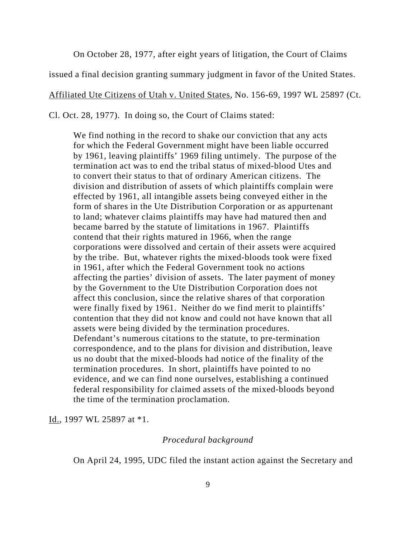On October 28, 1977, after eight years of litigation, the Court of Claims

issued a final decision granting summary judgment in favor of the United States.

Affiliated Ute Citizens of Utah v. United States, No. 156-69, 1997 WL 25897 (Ct.

Cl. Oct. 28, 1977). In doing so, the Court of Claims stated:

We find nothing in the record to shake our conviction that any acts for which the Federal Government might have been liable occurred by 1961, leaving plaintiffs' 1969 filing untimely. The purpose of the termination act was to end the tribal status of mixed-blood Utes and to convert their status to that of ordinary American citizens. The division and distribution of assets of which plaintiffs complain were effected by 1961, all intangible assets being conveyed either in the form of shares in the Ute Distribution Corporation or as appurtenant to land; whatever claims plaintiffs may have had matured then and became barred by the statute of limitations in 1967. Plaintiffs contend that their rights matured in 1966, when the range corporations were dissolved and certain of their assets were acquired by the tribe. But, whatever rights the mixed-bloods took were fixed in 1961, after which the Federal Government took no actions affecting the parties' division of assets. The later payment of money by the Government to the Ute Distribution Corporation does not affect this conclusion, since the relative shares of that corporation were finally fixed by 1961. Neither do we find merit to plaintiffs' contention that they did not know and could not have known that all assets were being divided by the termination procedures. Defendant's numerous citations to the statute, to pre-termination correspondence, and to the plans for division and distribution, leave us no doubt that the mixed-bloods had notice of the finality of the termination procedures. In short, plaintiffs have pointed to no evidence, and we can find none ourselves, establishing a continued federal responsibility for claimed assets of the mixed-bloods beyond the time of the termination proclamation.

Id., 1997 WL 25897 at \*1.

#### *Procedural background*

On April 24, 1995, UDC filed the instant action against the Secretary and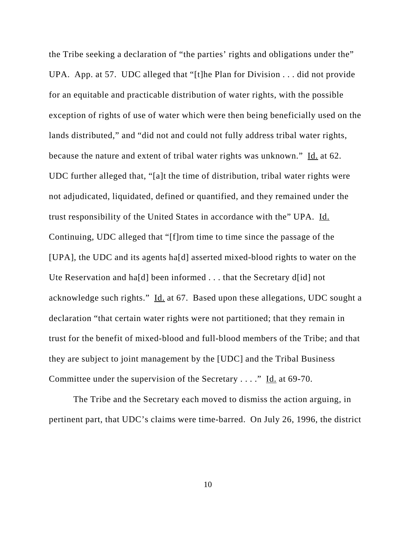the Tribe seeking a declaration of "the parties' rights and obligations under the" UPA. App. at 57. UDC alleged that "[t]he Plan for Division . . . did not provide for an equitable and practicable distribution of water rights, with the possible exception of rights of use of water which were then being beneficially used on the lands distributed," and "did not and could not fully address tribal water rights, because the nature and extent of tribal water rights was unknown." Id. at 62. UDC further alleged that, "[a]t the time of distribution, tribal water rights were not adjudicated, liquidated, defined or quantified, and they remained under the trust responsibility of the United States in accordance with the" UPA. Id. Continuing, UDC alleged that "[f]rom time to time since the passage of the [UPA], the UDC and its agents ha[d] asserted mixed-blood rights to water on the Ute Reservation and ha[d] been informed . . . that the Secretary d[id] not acknowledge such rights." Id. at 67. Based upon these allegations, UDC sought a declaration "that certain water rights were not partitioned; that they remain in trust for the benefit of mixed-blood and full-blood members of the Tribe; and that they are subject to joint management by the [UDC] and the Tribal Business Committee under the supervision of the Secretary . . . ." Id. at 69-70.

The Tribe and the Secretary each moved to dismiss the action arguing, in pertinent part, that UDC's claims were time-barred. On July 26, 1996, the district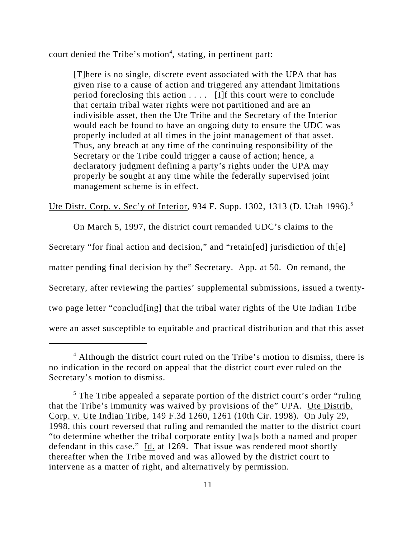court denied the Tribe's motion<sup>4</sup>, stating, in pertinent part:

[T]here is no single, discrete event associated with the UPA that has given rise to a cause of action and triggered any attendant limitations period foreclosing this action . . . . [I]f this court were to conclude that certain tribal water rights were not partitioned and are an indivisible asset, then the Ute Tribe and the Secretary of the Interior would each be found to have an ongoing duty to ensure the UDC was properly included at all times in the joint management of that asset. Thus, any breach at any time of the continuing responsibility of the Secretary or the Tribe could trigger a cause of action; hence, a declaratory judgment defining a party's rights under the UPA may properly be sought at any time while the federally supervised joint management scheme is in effect.

Ute Distr. Corp. v. Sec'y of Interior, 934 F. Supp. 1302, 1313 (D. Utah 1996).<sup>5</sup>

On March 5, 1997, the district court remanded UDC's claims to the

Secretary "for final action and decision," and "retain[ed] jurisdiction of th[e]

matter pending final decision by the" Secretary. App. at 50. On remand, the

Secretary, after reviewing the parties' supplemental submissions, issued a twenty-

two page letter "conclud[ing] that the tribal water rights of the Ute Indian Tribe

were an asset susceptible to equitable and practical distribution and that this asset

<sup>&</sup>lt;sup>4</sup> Although the district court ruled on the Tribe's motion to dismiss, there is no indication in the record on appeal that the district court ever ruled on the Secretary's motion to dismiss.

<sup>&</sup>lt;sup>5</sup> The Tribe appealed a separate portion of the district court's order "ruling" that the Tribe's immunity was waived by provisions of the" UPA. Ute Distrib. Corp. v. Ute Indian Tribe, 149 F.3d 1260, 1261 (10th Cir. 1998). On July 29, 1998, this court reversed that ruling and remanded the matter to the district court "to determine whether the tribal corporate entity [wa]s both a named and proper defendant in this case." Id. at 1269. That issue was rendered moot shortly thereafter when the Tribe moved and was allowed by the district court to intervene as a matter of right, and alternatively by permission.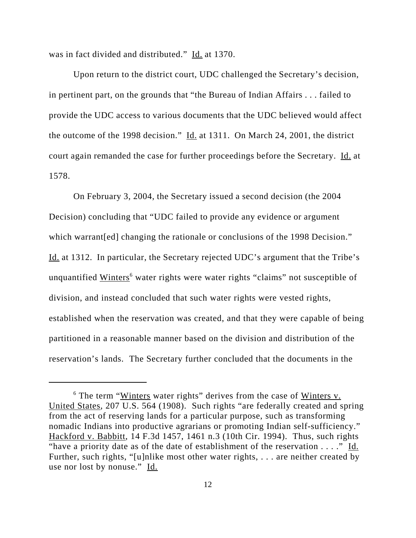was in fact divided and distributed." Id. at 1370.

Upon return to the district court, UDC challenged the Secretary's decision, in pertinent part, on the grounds that "the Bureau of Indian Affairs . . . failed to provide the UDC access to various documents that the UDC believed would affect the outcome of the 1998 decision." Id. at 1311. On March 24, 2001, the district court again remanded the case for further proceedings before the Secretary. Id. at 1578.

On February 3, 2004, the Secretary issued a second decision (the 2004 Decision) concluding that "UDC failed to provide any evidence or argument which warrant [ed] changing the rationale or conclusions of the 1998 Decision." Id. at 1312. In particular, the Secretary rejected UDC's argument that the Tribe's unquantified Winters<sup>6</sup> water rights were water rights "claims" not susceptible of division, and instead concluded that such water rights were vested rights, established when the reservation was created, and that they were capable of being partitioned in a reasonable manner based on the division and distribution of the reservation's lands. The Secretary further concluded that the documents in the

<sup>&</sup>lt;sup>6</sup> The term "Winters water rights" derives from the case of Winters v. United States, 207 U.S. 564 (1908). Such rights "are federally created and spring from the act of reserving lands for a particular purpose, such as transforming nomadic Indians into productive agrarians or promoting Indian self-sufficiency." Hackford v. Babbitt, 14 F.3d 1457, 1461 n.3 (10th Cir. 1994). Thus, such rights "have a priority date as of the date of establishment of the reservation  $\dots$ ." Id. Further, such rights, "[u]nlike most other water rights, . . . are neither created by use nor lost by nonuse." Id.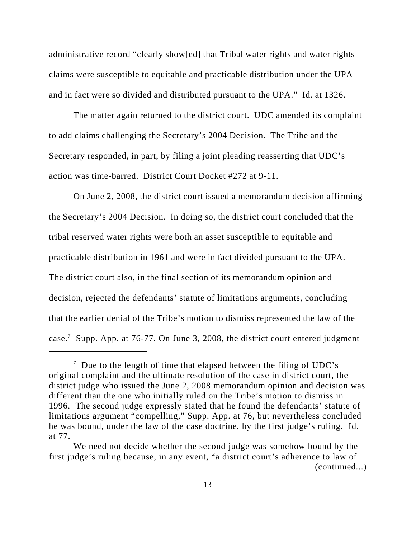administrative record "clearly show[ed] that Tribal water rights and water rights claims were susceptible to equitable and practicable distribution under the UPA and in fact were so divided and distributed pursuant to the UPA." Id. at 1326.

The matter again returned to the district court. UDC amended its complaint to add claims challenging the Secretary's 2004 Decision. The Tribe and the Secretary responded, in part, by filing a joint pleading reasserting that UDC's action was time-barred. District Court Docket #272 at 9-11.

On June 2, 2008, the district court issued a memorandum decision affirming the Secretary's 2004 Decision. In doing so, the district court concluded that the tribal reserved water rights were both an asset susceptible to equitable and practicable distribution in 1961 and were in fact divided pursuant to the UPA. The district court also, in the final section of its memorandum opinion and decision, rejected the defendants' statute of limitations arguments, concluding that the earlier denial of the Tribe's motion to dismiss represented the law of the case.<sup>7</sup> Supp. App. at 76-77. On June 3, 2008, the district court entered judgment

 $7$  Due to the length of time that elapsed between the filing of UDC's original complaint and the ultimate resolution of the case in district court, the district judge who issued the June 2, 2008 memorandum opinion and decision was different than the one who initially ruled on the Tribe's motion to dismiss in 1996. The second judge expressly stated that he found the defendants' statute of limitations argument "compelling," Supp. App. at 76, but nevertheless concluded he was bound, under the law of the case doctrine, by the first judge's ruling. Id. at 77.

We need not decide whether the second judge was somehow bound by the first judge's ruling because, in any event, "a district court's adherence to law of (continued...)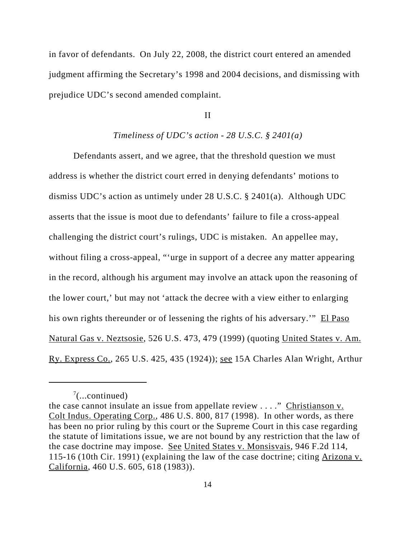in favor of defendants. On July 22, 2008, the district court entered an amended judgment affirming the Secretary's 1998 and 2004 decisions, and dismissing with prejudice UDC's second amended complaint.

#### II

#### *Timeliness of UDC's action - 28 U.S.C. § 2401(a)*

Defendants assert, and we agree, that the threshold question we must address is whether the district court erred in denying defendants' motions to dismiss UDC's action as untimely under 28 U.S.C. § 2401(a). Although UDC asserts that the issue is moot due to defendants' failure to file a cross-appeal challenging the district court's rulings, UDC is mistaken. An appellee may, without filing a cross-appeal, "'urge in support of a decree any matter appearing in the record, although his argument may involve an attack upon the reasoning of the lower court,' but may not 'attack the decree with a view either to enlarging his own rights thereunder or of lessening the rights of his adversary.'" El Paso Natural Gas v. Neztsosie, 526 U.S. 473, 479 (1999) (quoting United States v. Am. Ry. Express Co., 265 U.S. 425, 435 (1924)); see 15A Charles Alan Wright, Arthur

 $7$ (...continued)

the case cannot insulate an issue from appellate review  $\dots$ ." Christianson v. Colt Indus. Operating Corp., 486 U.S. 800, 817 (1998). In other words, as there has been no prior ruling by this court or the Supreme Court in this case regarding the statute of limitations issue, we are not bound by any restriction that the law of the case doctrine may impose. See United States v. Monsisvais, 946 F.2d 114, 115-16 (10th Cir. 1991) (explaining the law of the case doctrine; citing Arizona v. California, 460 U.S. 605, 618 (1983)).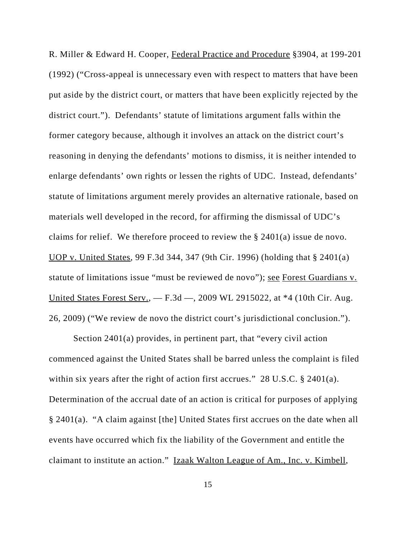R. Miller & Edward H. Cooper, Federal Practice and Procedure §3904, at 199-201 (1992) ("Cross-appeal is unnecessary even with respect to matters that have been put aside by the district court, or matters that have been explicitly rejected by the district court."). Defendants' statute of limitations argument falls within the former category because, although it involves an attack on the district court's reasoning in denying the defendants' motions to dismiss, it is neither intended to enlarge defendants' own rights or lessen the rights of UDC. Instead, defendants' statute of limitations argument merely provides an alternative rationale, based on materials well developed in the record, for affirming the dismissal of UDC's claims for relief. We therefore proceed to review the § 2401(a) issue de novo. UOP v. United States, 99 F.3d 344, 347 (9th Cir. 1996) (holding that § 2401(a) statute of limitations issue "must be reviewed de novo"); see Forest Guardians v. United States Forest Serv., — F.3d —, 2009 WL 2915022, at \*4 (10th Cir. Aug. 26, 2009) ("We review de novo the district court's jurisdictional conclusion.").

Section 2401(a) provides, in pertinent part, that "every civil action commenced against the United States shall be barred unless the complaint is filed within six years after the right of action first accrues." 28 U.S.C. § 2401(a). Determination of the accrual date of an action is critical for purposes of applying § 2401(a). "A claim against [the] United States first accrues on the date when all events have occurred which fix the liability of the Government and entitle the claimant to institute an action." Izaak Walton League of Am., Inc. v. Kimbell,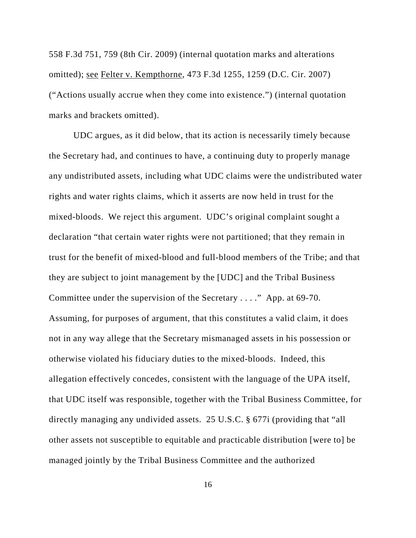558 F.3d 751, 759 (8th Cir. 2009) (internal quotation marks and alterations omitted); see Felter v. Kempthorne, 473 F.3d 1255, 1259 (D.C. Cir. 2007) ("Actions usually accrue when they come into existence.") (internal quotation marks and brackets omitted).

UDC argues, as it did below, that its action is necessarily timely because the Secretary had, and continues to have, a continuing duty to properly manage any undistributed assets, including what UDC claims were the undistributed water rights and water rights claims, which it asserts are now held in trust for the mixed-bloods. We reject this argument. UDC's original complaint sought a declaration "that certain water rights were not partitioned; that they remain in trust for the benefit of mixed-blood and full-blood members of the Tribe; and that they are subject to joint management by the [UDC] and the Tribal Business Committee under the supervision of the Secretary . . . ." App. at 69-70. Assuming, for purposes of argument, that this constitutes a valid claim, it does not in any way allege that the Secretary mismanaged assets in his possession or otherwise violated his fiduciary duties to the mixed-bloods. Indeed, this allegation effectively concedes, consistent with the language of the UPA itself, that UDC itself was responsible, together with the Tribal Business Committee, for directly managing any undivided assets. 25 U.S.C. § 677i (providing that "all other assets not susceptible to equitable and practicable distribution [were to] be managed jointly by the Tribal Business Committee and the authorized

16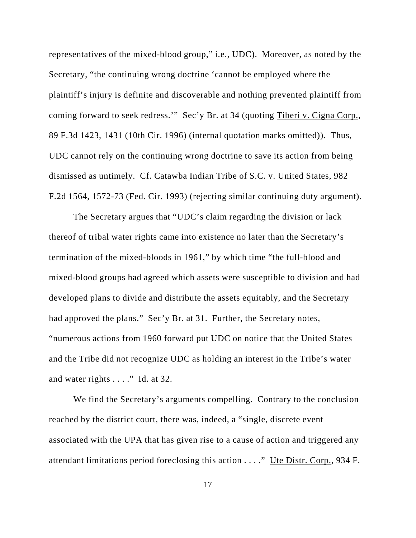representatives of the mixed-blood group," i.e., UDC). Moreover, as noted by the Secretary, "the continuing wrong doctrine 'cannot be employed where the plaintiff's injury is definite and discoverable and nothing prevented plaintiff from coming forward to seek redress.'" Sec'y Br. at 34 (quoting Tiberi v. Cigna Corp., 89 F.3d 1423, 1431 (10th Cir. 1996) (internal quotation marks omitted)). Thus, UDC cannot rely on the continuing wrong doctrine to save its action from being dismissed as untimely. Cf. Catawba Indian Tribe of S.C. v. United States, 982 F.2d 1564, 1572-73 (Fed. Cir. 1993) (rejecting similar continuing duty argument).

The Secretary argues that "UDC's claim regarding the division or lack thereof of tribal water rights came into existence no later than the Secretary's termination of the mixed-bloods in 1961," by which time "the full-blood and mixed-blood groups had agreed which assets were susceptible to division and had developed plans to divide and distribute the assets equitably, and the Secretary had approved the plans." Sec'y Br. at 31. Further, the Secretary notes, "numerous actions from 1960 forward put UDC on notice that the United States and the Tribe did not recognize UDC as holding an interest in the Tribe's water and water rights . . . ." Id. at 32.

We find the Secretary's arguments compelling. Contrary to the conclusion reached by the district court, there was, indeed, a "single, discrete event associated with the UPA that has given rise to a cause of action and triggered any attendant limitations period foreclosing this action . . . ." Ute Distr. Corp., 934 F.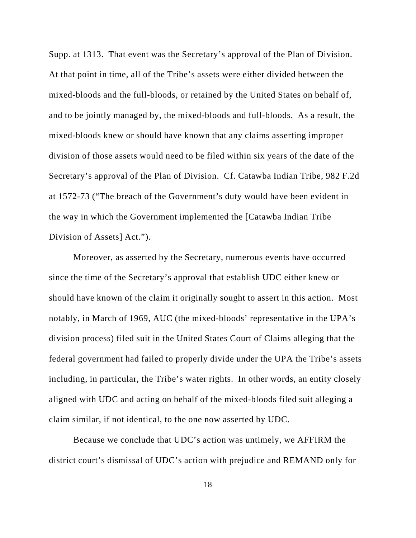Supp. at 1313. That event was the Secretary's approval of the Plan of Division. At that point in time, all of the Tribe's assets were either divided between the mixed-bloods and the full-bloods, or retained by the United States on behalf of, and to be jointly managed by, the mixed-bloods and full-bloods. As a result, the mixed-bloods knew or should have known that any claims asserting improper division of those assets would need to be filed within six years of the date of the Secretary's approval of the Plan of Division. Cf. Catawba Indian Tribe, 982 F.2d at 1572-73 ("The breach of the Government's duty would have been evident in the way in which the Government implemented the [Catawba Indian Tribe Division of Assets] Act.").

Moreover, as asserted by the Secretary, numerous events have occurred since the time of the Secretary's approval that establish UDC either knew or should have known of the claim it originally sought to assert in this action. Most notably, in March of 1969, AUC (the mixed-bloods' representative in the UPA's division process) filed suit in the United States Court of Claims alleging that the federal government had failed to properly divide under the UPA the Tribe's assets including, in particular, the Tribe's water rights. In other words, an entity closely aligned with UDC and acting on behalf of the mixed-bloods filed suit alleging a claim similar, if not identical, to the one now asserted by UDC.

Because we conclude that UDC's action was untimely, we AFFIRM the district court's dismissal of UDC's action with prejudice and REMAND only for